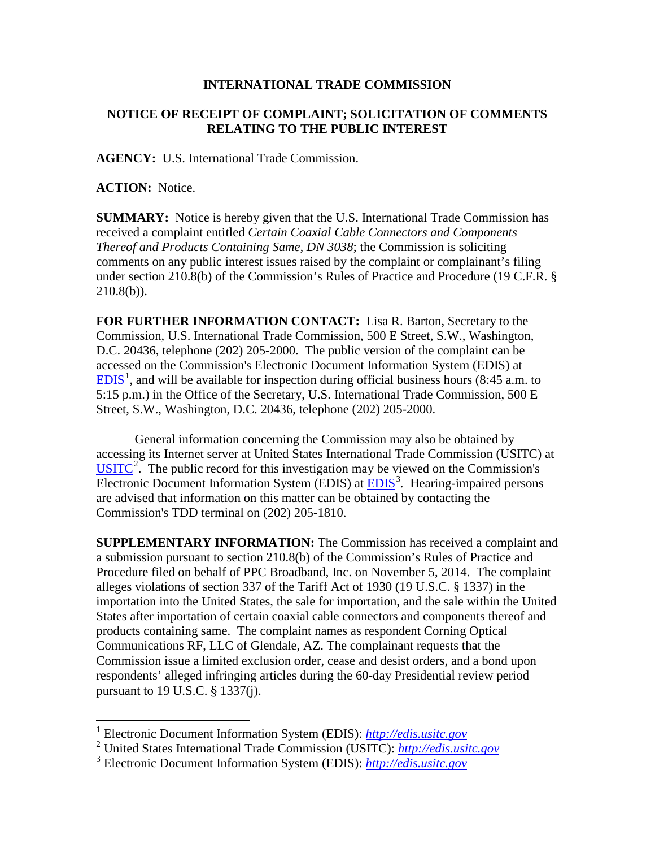## **INTERNATIONAL TRADE COMMISSION**

## **NOTICE OF RECEIPT OF COMPLAINT; SOLICITATION OF COMMENTS RELATING TO THE PUBLIC INTEREST**

**AGENCY:** U.S. International Trade Commission.

**ACTION:** Notice.

 $\overline{a}$ 

**SUMMARY:** Notice is hereby given that the U.S. International Trade Commission has received a complaint entitled *Certain Coaxial Cable Connectors and Components Thereof and Products Containing Same, DN 3038*; the Commission is soliciting comments on any public interest issues raised by the complaint or complainant's filing under section 210.8(b) of the Commission's Rules of Practice and Procedure (19 C.F.R. §  $210.8(b)$ ).

**FOR FURTHER INFORMATION CONTACT:** Lisa R. Barton, Secretary to the Commission, U.S. International Trade Commission, 500 E Street, S.W., Washington, D.C. 20436, telephone (202) 205-2000. The public version of the complaint can be accessed on the Commission's Electronic Document Information System (EDIS) at  $EDIS<sup>1</sup>$  $EDIS<sup>1</sup>$  $EDIS<sup>1</sup>$  $EDIS<sup>1</sup>$ , and will be available for inspection during official business hours (8:45 a.m. to 5:15 p.m.) in the Office of the Secretary, U.S. International Trade Commission, 500 E Street, S.W., Washington, D.C. 20436, telephone (202) 205-2000.

General information concerning the Commission may also be obtained by accessing its Internet server at United States International Trade Commission (USITC) at  $\overline{USTTC}^2$  $\overline{USTTC}^2$ . The public record for this investigation may be viewed on the Commission's Electronic Document Information System (EDIS) at **EDIS**<sup>[3](#page-0-2)</sup>. Hearing-impaired persons are advised that information on this matter can be obtained by contacting the Commission's TDD terminal on (202) 205-1810.

**SUPPLEMENTARY INFORMATION:** The Commission has received a complaint and a submission pursuant to section 210.8(b) of the Commission's Rules of Practice and Procedure filed on behalf of PPC Broadband, Inc. on November 5, 2014. The complaint alleges violations of section 337 of the Tariff Act of 1930 (19 U.S.C. § 1337) in the importation into the United States, the sale for importation, and the sale within the United States after importation of certain coaxial cable connectors and components thereof and products containing same. The complaint names as respondent Corning Optical Communications RF, LLC of Glendale, AZ. The complainant requests that the Commission issue a limited exclusion order, cease and desist orders, and a bond upon respondents' alleged infringing articles during the 60-day Presidential review period pursuant to 19 U.S.C. § 1337(j).

<span id="page-0-0"></span><sup>1</sup> Electronic Document Information System (EDIS): *[http://edis.usitc.gov](http://edis.usitc.gov/)*

<span id="page-0-1"></span><sup>2</sup> United States International Trade Commission (USITC): *[http://edis.usitc.gov](http://edis.usitc.gov/)*

<span id="page-0-2"></span><sup>3</sup> Electronic Document Information System (EDIS): *[http://edis.usitc.gov](http://edis.usitc.gov/)*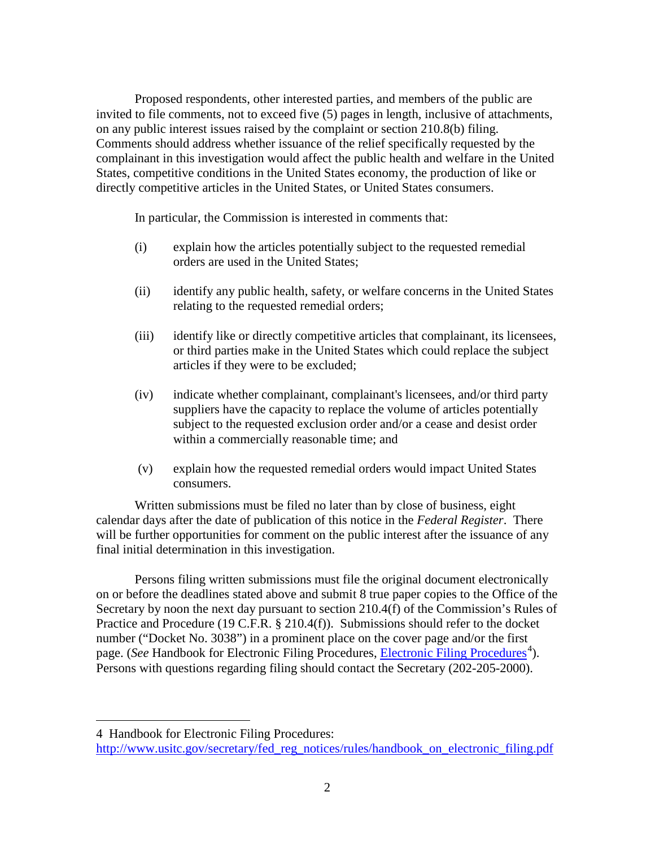Proposed respondents, other interested parties, and members of the public are invited to file comments, not to exceed five (5) pages in length, inclusive of attachments, on any public interest issues raised by the complaint or section 210.8(b) filing. Comments should address whether issuance of the relief specifically requested by the complainant in this investigation would affect the public health and welfare in the United States, competitive conditions in the United States economy, the production of like or directly competitive articles in the United States, or United States consumers.

In particular, the Commission is interested in comments that:

- (i) explain how the articles potentially subject to the requested remedial orders are used in the United States;
- (ii) identify any public health, safety, or welfare concerns in the United States relating to the requested remedial orders;
- (iii) identify like or directly competitive articles that complainant, its licensees, or third parties make in the United States which could replace the subject articles if they were to be excluded;
- (iv) indicate whether complainant, complainant's licensees, and/or third party suppliers have the capacity to replace the volume of articles potentially subject to the requested exclusion order and/or a cease and desist order within a commercially reasonable time; and
- (v) explain how the requested remedial orders would impact United States consumers.

Written submissions must be filed no later than by close of business, eight calendar days after the date of publication of this notice in the *Federal Register*. There will be further opportunities for comment on the public interest after the issuance of any final initial determination in this investigation.

Persons filing written submissions must file the original document electronically on or before the deadlines stated above and submit 8 true paper copies to the Office of the Secretary by noon the next day pursuant to section 210.4(f) of the Commission's Rules of Practice and Procedure (19 C.F.R. § 210.4(f)). Submissions should refer to the docket number ("Docket No. 3038") in a prominent place on the cover page and/or the first page. (*See* Handbook for [Electronic Filing Procedures](http://www.usitc.gov/secretary/fed_reg_notices/rules/handbook_on_electronic_filing.pdf), *Electronic Filing Procedures*<sup>[4](#page-1-0)</sup>). Persons with questions regarding filing should contact the Secretary (202-205-2000).

 $\overline{a}$ 

<span id="page-1-0"></span><sup>4</sup> Handbook for Electronic Filing Procedures:

http://www.usitc.gov/secretary/fed\_reg\_notices/rules/handbook\_on\_electronic\_filing.pdf